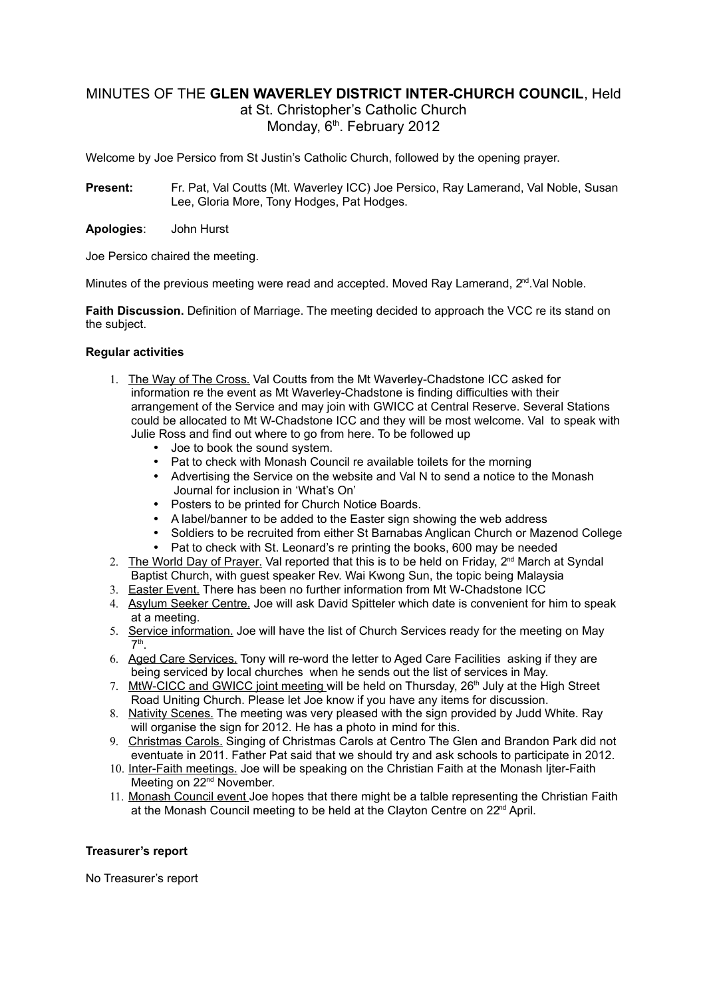# MINUTES OF THE **GLEN WAVERLEY DISTRICT INTER-CHURCH COUNCIL**, Held at St. Christopher's Catholic Church Monday, 6<sup>th</sup>. February 2012

Welcome by Joe Persico from St Justin's Catholic Church, followed by the opening prayer.

- **Present:** Fr. Pat, Val Coutts (Mt. Waverley ICC) Joe Persico, Ray Lamerand, Val Noble, Susan Lee, Gloria More, Tony Hodges, Pat Hodges.
- **Apologies**: John Hurst

Joe Persico chaired the meeting.

Minutes of the previous meeting were read and accepted. Moved Ray Lamerand,  $2^{nd}$  Val Noble.

**Faith Discussion.** Definition of Marriage. The meeting decided to approach the VCC re its stand on the subject.

### **Regular activities**

- 1. The Way of The Cross. Val Coutts from the Mt Waverley-Chadstone ICC asked for information re the event as Mt Waverley-Chadstone is finding difficulties with their arrangement of the Service and may join with GWICC at Central Reserve. Several Stations could be allocated to Mt W-Chadstone ICC and they will be most welcome. Val to speak with Julie Ross and find out where to go from here. To be followed up
	- Joe to book the sound system.
	- Pat to check with Monash Council re available toilets for the morning
	- Advertising the Service on the website and Val N to send a notice to the Monash Journal for inclusion in 'What's On'
	- Posters to be printed for Church Notice Boards.
	- A label/banner to be added to the Easter sign showing the web address
	- Soldiers to be recruited from either St Barnabas Anglican Church or Mazenod College
	- Pat to check with St. Leonard's re printing the books, 600 may be needed
- 2. The World Day of Prayer. Val reported that this is to be held on Friday,  $2<sup>nd</sup>$  March at Syndal Baptist Church, with guest speaker Rev. Wai Kwong Sun, the topic being Malaysia
- 3. Easter Event. There has been no further information from Mt W-Chadstone ICC
- 4. Asylum Seeker Centre. Joe will ask David Spitteler which date is convenient for him to speak at a meeting.
- 5. Service information. Joe will have the list of Church Services ready for the meeting on May 7 th .
- 6. Aged Care Services. Tony will re-word the letter to Aged Care Facilities asking if they are being serviced by local churches when he sends out the list of services in May.
- 7. MtW-CICC and GWICC joint meeting will be held on Thursday, 26<sup>th</sup> July at the High Street Road Uniting Church. Please let Joe know if you have any items for discussion.
- 8. Nativity Scenes. The meeting was very pleased with the sign provided by Judd White. Ray will organise the sign for 2012. He has a photo in mind for this.
- 9. Christmas Carols. Singing of Christmas Carols at Centro The Glen and Brandon Park did not eventuate in 2011. Father Pat said that we should try and ask schools to participate in 2012.
- 10. Inter-Faith meetings. Joe will be speaking on the Christian Faith at the Monash Ijter-Faith Meeting on 22<sup>nd</sup> November.
- 11. Monash Council event Joe hopes that there might be a talble representing the Christian Faith at the Monash Council meeting to be held at the Clayton Centre on 22<sup>nd</sup> April.

## **Treasurer's report**

No Treasurer's report